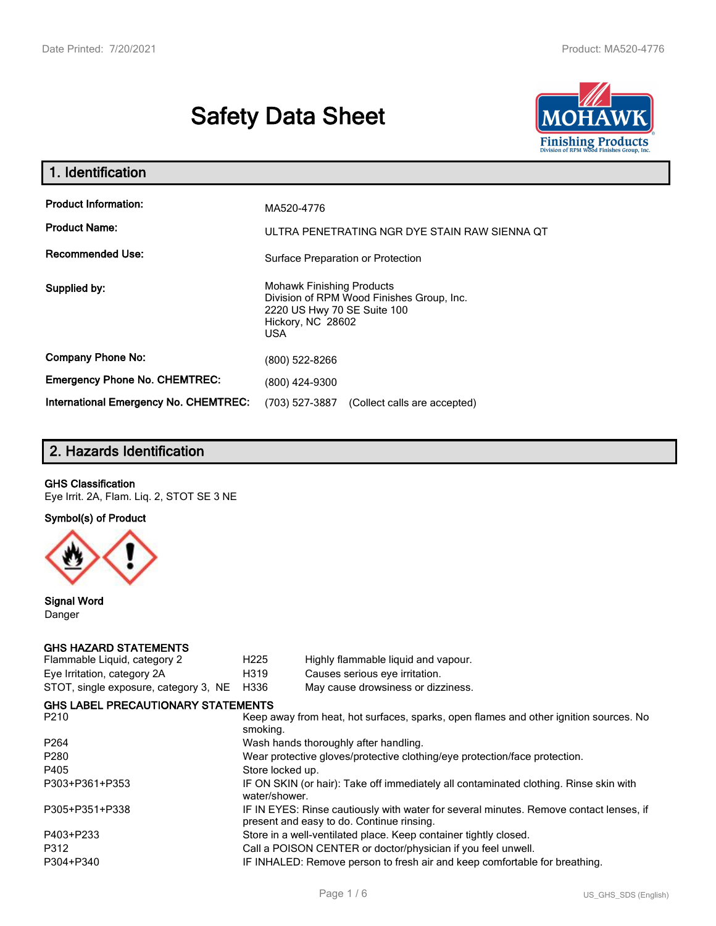# **Safety Data Sheet**



| 1. Identification                            |                                                                                                                                                 |
|----------------------------------------------|-------------------------------------------------------------------------------------------------------------------------------------------------|
| <b>Product Information:</b>                  | MA520-4776                                                                                                                                      |
| <b>Product Name:</b>                         | ULTRA PENETRATING NGR DYE STAIN RAW SIENNA QT                                                                                                   |
| <b>Recommended Use:</b>                      | Surface Preparation or Protection                                                                                                               |
| Supplied by:                                 | <b>Mohawk Finishing Products</b><br>Division of RPM Wood Finishes Group, Inc.<br>2220 US Hwy 70 SE Suite 100<br>Hickory, NC 28602<br><b>USA</b> |
| <b>Company Phone No:</b>                     | (800) 522-8266                                                                                                                                  |
| <b>Emergency Phone No. CHEMTREC:</b>         | (800) 424-9300                                                                                                                                  |
| <b>International Emergency No. CHEMTREC:</b> | (703) 527-3887<br>(Collect calls are accepted)                                                                                                  |

# **2. Hazards Identification**

#### **GHS Classification**

Eye Irrit. 2A, Flam. Liq. 2, STOT SE 3 NE

**Symbol(s) of Product**



**Signal Word** Danger

#### **GHS HAZARD STATEMENTS**

| H <sub>225</sub> | Highly flammable liquid and vapour.                                                                                                 |  |  |  |
|------------------|-------------------------------------------------------------------------------------------------------------------------------------|--|--|--|
| H319             | Causes serious eye irritation.                                                                                                      |  |  |  |
| H336             | May cause drowsiness or dizziness.                                                                                                  |  |  |  |
|                  |                                                                                                                                     |  |  |  |
| smoking.         | Keep away from heat, hot surfaces, sparks, open flames and other ignition sources. No                                               |  |  |  |
|                  | Wash hands thoroughly after handling.                                                                                               |  |  |  |
|                  | Wear protective gloves/protective clothing/eye protection/face protection.                                                          |  |  |  |
| Store locked up. |                                                                                                                                     |  |  |  |
| water/shower.    | IF ON SKIN (or hair): Take off immediately all contaminated clothing. Rinse skin with                                               |  |  |  |
|                  | IF IN EYES: Rinse cautiously with water for several minutes. Remove contact lenses, if<br>present and easy to do. Continue rinsing. |  |  |  |
|                  | Store in a well-ventilated place. Keep container tightly closed.                                                                    |  |  |  |
|                  | Call a POISON CENTER or doctor/physician if you feel unwell.                                                                        |  |  |  |
|                  | IF INHALED: Remove person to fresh air and keep comfortable for breathing.                                                          |  |  |  |
|                  | STOT, single exposure, category 3, NE<br><b>GHS LABEL PRECAUTIONARY STATEMENTS</b>                                                  |  |  |  |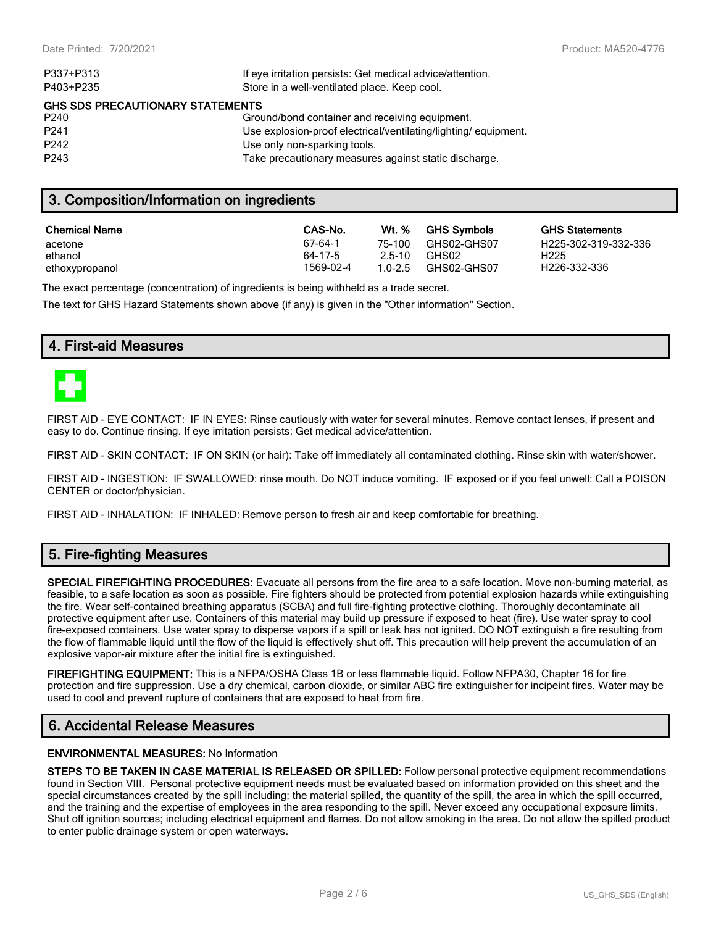| P337+P313                               | If eye irritation persists: Get medical advice/attention.      |  |  |  |
|-----------------------------------------|----------------------------------------------------------------|--|--|--|
| P403+P235                               | Store in a well-ventilated place. Keep cool.                   |  |  |  |
| <b>GHS SDS PRECAUTIONARY STATEMENTS</b> |                                                                |  |  |  |
| P240                                    | Ground/bond container and receiving equipment.                 |  |  |  |
| P <sub>241</sub>                        | Use explosion-proof electrical/ventilating/lighting/equipment. |  |  |  |
| P <sub>242</sub>                        | Use only non-sparking tools.                                   |  |  |  |
| P <sub>243</sub>                        | Take precautionary measures against static discharge.          |  |  |  |
|                                         |                                                                |  |  |  |

# **3. Composition/Information on ingredients**

| <b>Chemical Name</b> | CAS-No.   | Wt. %  | <b>GHS Symbols</b> | GHS  |
|----------------------|-----------|--------|--------------------|------|
| acetone              | 67-64-1   | 75-100 | GHS02-GHS07        | H225 |
| ethanol              | 64-17-5   | 2.5-10 | GHS02              | H225 |
| ethoxypropanol       | 1569-02-4 | 10-25  | GHS02-GHS07        | H226 |

**GHS Statements** H225-302-319-332-336 H226-332-336

The exact percentage (concentration) of ingredients is being withheld as a trade secret.

The text for GHS Hazard Statements shown above (if any) is given in the "Other information" Section.

# **4. First-aid Measures**



FIRST AID - EYE CONTACT: IF IN EYES: Rinse cautiously with water for several minutes. Remove contact lenses, if present and easy to do. Continue rinsing. If eye irritation persists: Get medical advice/attention.

FIRST AID - SKIN CONTACT: IF ON SKIN (or hair): Take off immediately all contaminated clothing. Rinse skin with water/shower.

FIRST AID - INGESTION: IF SWALLOWED: rinse mouth. Do NOT induce vomiting. IF exposed or if you feel unwell: Call a POISON CENTER or doctor/physician.

FIRST AID - INHALATION: IF INHALED: Remove person to fresh air and keep comfortable for breathing.

# **5. Fire-fighting Measures**

**SPECIAL FIREFIGHTING PROCEDURES:** Evacuate all persons from the fire area to a safe location. Move non-burning material, as feasible, to a safe location as soon as possible. Fire fighters should be protected from potential explosion hazards while extinguishing the fire. Wear self-contained breathing apparatus (SCBA) and full fire-fighting protective clothing. Thoroughly decontaminate all protective equipment after use. Containers of this material may build up pressure if exposed to heat (fire). Use water spray to cool fire-exposed containers. Use water spray to disperse vapors if a spill or leak has not ignited. DO NOT extinguish a fire resulting from the flow of flammable liquid until the flow of the liquid is effectively shut off. This precaution will help prevent the accumulation of an explosive vapor-air mixture after the initial fire is extinguished.

**FIREFIGHTING EQUIPMENT:** This is a NFPA/OSHA Class 1B or less flammable liquid. Follow NFPA30, Chapter 16 for fire protection and fire suppression. Use a dry chemical, carbon dioxide, or similar ABC fire extinguisher for incipeint fires. Water may be used to cool and prevent rupture of containers that are exposed to heat from fire.

# **6. Accidental Release Measures**

#### **ENVIRONMENTAL MEASURES:** No Information

**STEPS TO BE TAKEN IN CASE MATERIAL IS RELEASED OR SPILLED:** Follow personal protective equipment recommendations found in Section VIII. Personal protective equipment needs must be evaluated based on information provided on this sheet and the special circumstances created by the spill including; the material spilled, the quantity of the spill, the area in which the spill occurred, and the training and the expertise of employees in the area responding to the spill. Never exceed any occupational exposure limits. Shut off ignition sources; including electrical equipment and flames. Do not allow smoking in the area. Do not allow the spilled product to enter public drainage system or open waterways.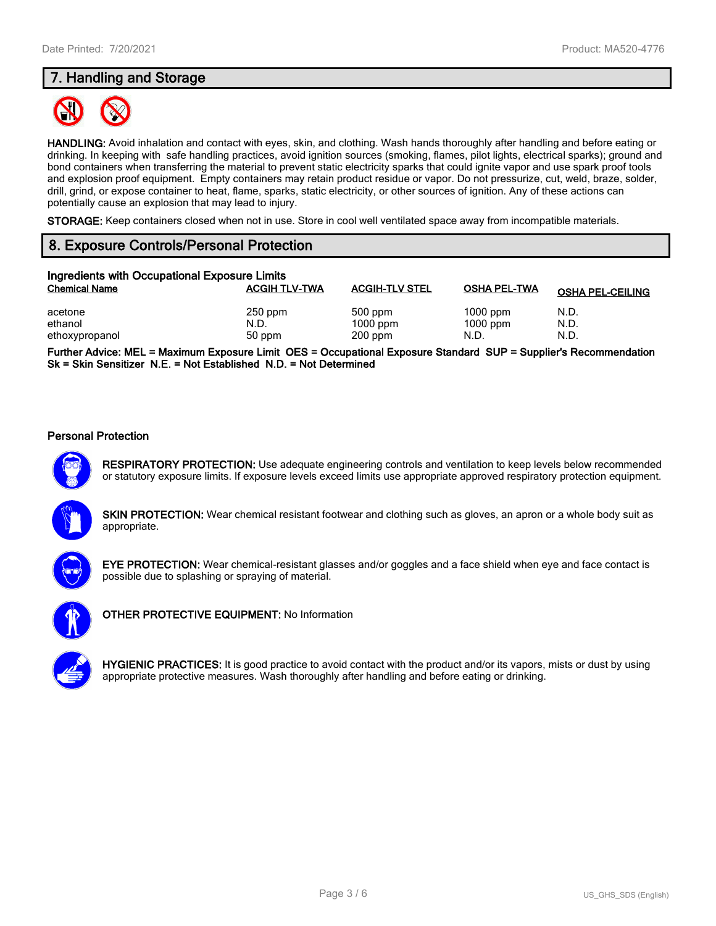# **7. Handling and Storage**



**HANDLING:** Avoid inhalation and contact with eyes, skin, and clothing. Wash hands thoroughly after handling and before eating or drinking. In keeping with safe handling practices, avoid ignition sources (smoking, flames, pilot lights, electrical sparks); ground and bond containers when transferring the material to prevent static electricity sparks that could ignite vapor and use spark proof tools and explosion proof equipment. Empty containers may retain product residue or vapor. Do not pressurize, cut, weld, braze, solder, drill, grind, or expose container to heat, flame, sparks, static electricity, or other sources of ignition. Any of these actions can potentially cause an explosion that may lead to injury.

**STORAGE:** Keep containers closed when not in use. Store in cool well ventilated space away from incompatible materials.

# **8. Exposure Controls/Personal Protection**

| Ingredients with Occupational Exposure Limits |                      |                       |                          |                         |  |  |
|-----------------------------------------------|----------------------|-----------------------|--------------------------|-------------------------|--|--|
| <b>Chemical Name</b>                          | <b>ACGIH TLV-TWA</b> | <b>ACGIH-TLV STEL</b> | <b>OSHA PEL-TWA</b>      | <b>OSHA PEL-CEILING</b> |  |  |
| acetone<br>ethanol                            | $250$ ppm<br>N.D.    | 500 ppm<br>$1000$ ppm | $1000$ ppm<br>$1000$ ppm | N.D.<br>N.D.            |  |  |
| ethoxypropanol                                | 50 ppm               | $200$ ppm             | N.D.                     | N.D.                    |  |  |

**Further Advice: MEL = Maximum Exposure Limit OES = Occupational Exposure Standard SUP = Supplier's Recommendation Sk = Skin Sensitizer N.E. = Not Established N.D. = Not Determined**

#### **Personal Protection**



**RESPIRATORY PROTECTION:** Use adequate engineering controls and ventilation to keep levels below recommended or statutory exposure limits. If exposure levels exceed limits use appropriate approved respiratory protection equipment.





**EYE PROTECTION:** Wear chemical-resistant glasses and/or goggles and a face shield when eye and face contact is possible due to splashing or spraying of material.



**OTHER PROTECTIVE EQUIPMENT:** No Information

**HYGIENIC PRACTICES:** It is good practice to avoid contact with the product and/or its vapors, mists or dust by using appropriate protective measures. Wash thoroughly after handling and before eating or drinking.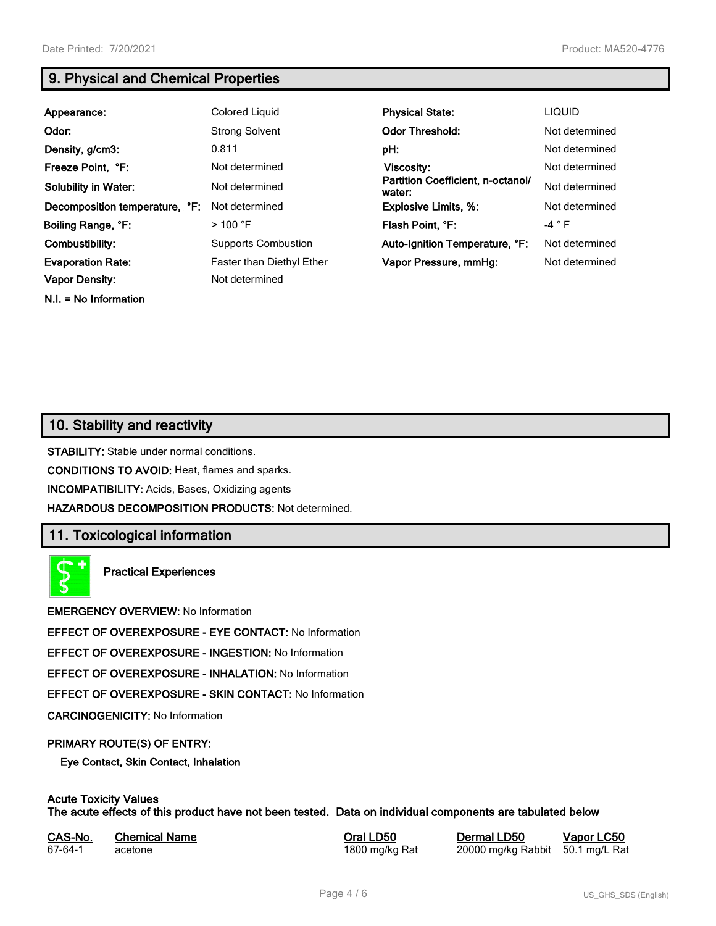**N.I. = No Information**

# **9. Physical and Chemical Properties**

| Appearance:                    | Colored Liquid                   | <b>Physical State:</b>                      | <b>LIQUID</b>   |
|--------------------------------|----------------------------------|---------------------------------------------|-----------------|
| Odor:                          | <b>Strong Solvent</b>            | <b>Odor Threshold:</b>                      | Not determined  |
| Density, g/cm3:                | 0.811                            | pH:                                         | Not determined  |
| Freeze Point, °F:              | Not determined                   | Viscosity:                                  | Not determined  |
| <b>Solubility in Water:</b>    | Not determined                   | Partition Coefficient, n-octanol/<br>water: | Not determined  |
| Decomposition temperature, °F: | Not determined                   | <b>Explosive Limits, %:</b>                 | Not determined  |
| Boiling Range, °F:             | $>$ 100 °F                       | Flash Point, °F:                            | -4 $^{\circ}$ F |
| Combustibility:                | <b>Supports Combustion</b>       | Auto-Ignition Temperature, °F:              | Not determined  |
| <b>Evaporation Rate:</b>       | <b>Faster than Diethyl Ether</b> | Vapor Pressure, mmHg:                       | Not determined  |
| <b>Vapor Density:</b>          | Not determined                   |                                             |                 |

# **10. Stability and reactivity**

**STABILITY:** Stable under normal conditions.

**CONDITIONS TO AVOID:** Heat, flames and sparks.

**INCOMPATIBILITY:** Acids, Bases, Oxidizing agents

**HAZARDOUS DECOMPOSITION PRODUCTS:** Not determined.

# **11. Toxicological information**

**Practical Experiences**

**EMERGENCY OVERVIEW:** No Information

**EFFECT OF OVEREXPOSURE - EYE CONTACT:** No Information

**EFFECT OF OVEREXPOSURE - INGESTION:** No Information

**EFFECT OF OVEREXPOSURE - INHALATION:** No Information

**EFFECT OF OVEREXPOSURE - SKIN CONTACT:** No Information

**CARCINOGENICITY:** No Information

#### **PRIMARY ROUTE(S) OF ENTRY:**

**Eye Contact, Skin Contact, Inhalation**

# **Acute Toxicity Values**

**The acute effects of this product have not been tested. Data on individual components are tabulated below**

| CAS-No. | <b>Chemical Name</b> |
|---------|----------------------|
| 67-64-1 | acetone              |

**Casary Chemical Chemical LD50 Chemical LD50 Vapor LC50** 1800 mg/kg Rat 20000 mg/kg Rabbit 50.1 mg/L Rat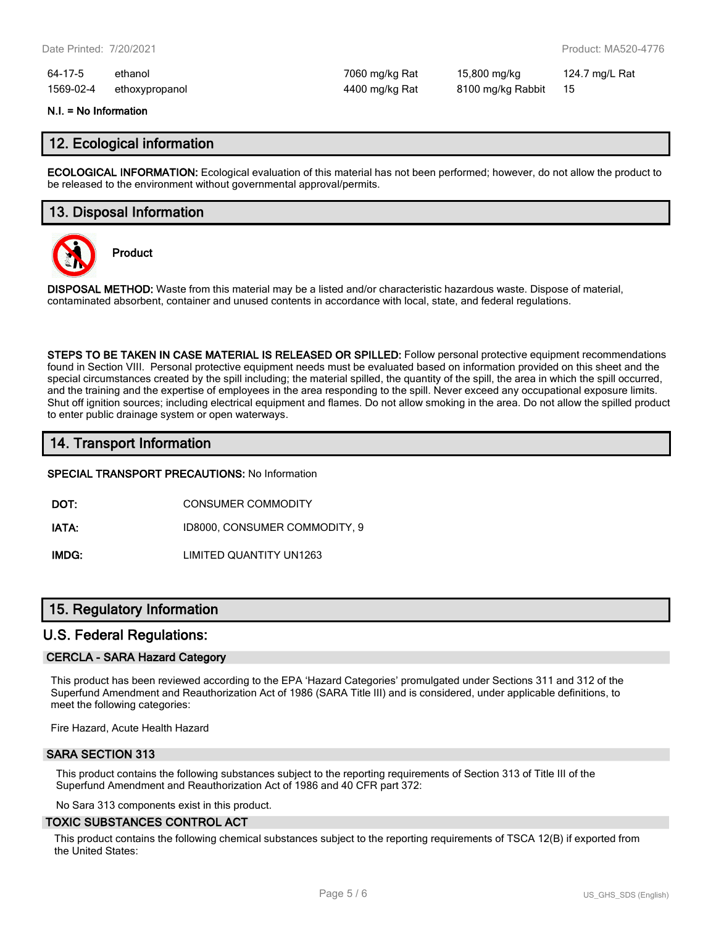64-17-5 ethanol 7060 mg/kg Rat 15,800 mg/kg 124.7 mg/L Rat 1569-02-4 ethoxypropanol 4400 mg/kg Rat 8100 mg/kg Rabbit 15

#### **N.I. = No Information**

### **12. Ecological information**

**ECOLOGICAL INFORMATION:** Ecological evaluation of this material has not been performed; however, do not allow the product to be released to the environment without governmental approval/permits.

# **13. Disposal Information**



**Product**

**DISPOSAL METHOD:** Waste from this material may be a listed and/or characteristic hazardous waste. Dispose of material, contaminated absorbent, container and unused contents in accordance with local, state, and federal regulations.

**STEPS TO BE TAKEN IN CASE MATERIAL IS RELEASED OR SPILLED:** Follow personal protective equipment recommendations found in Section VIII. Personal protective equipment needs must be evaluated based on information provided on this sheet and the special circumstances created by the spill including; the material spilled, the quantity of the spill, the area in which the spill occurred, and the training and the expertise of employees in the area responding to the spill. Never exceed any occupational exposure limits. Shut off ignition sources; including electrical equipment and flames. Do not allow smoking in the area. Do not allow the spilled product to enter public drainage system or open waterways.

# **14. Transport Information**

**SPECIAL TRANSPORT PRECAUTIONS:** No Information

**DOT:** CONSUMER COMMODITY

**IATA:** ID8000, CONSUMER COMMODITY, 9

**IMDG:** LIMITED QUANTITY UN1263

# **15. Regulatory Information**

#### **U.S. Federal Regulations:**

#### **CERCLA - SARA Hazard Category**

This product has been reviewed according to the EPA 'Hazard Categories' promulgated under Sections 311 and 312 of the Superfund Amendment and Reauthorization Act of 1986 (SARA Title III) and is considered, under applicable definitions, to meet the following categories:

Fire Hazard, Acute Health Hazard

#### **SARA SECTION 313**

This product contains the following substances subject to the reporting requirements of Section 313 of Title III of the Superfund Amendment and Reauthorization Act of 1986 and 40 CFR part 372:

No Sara 313 components exist in this product.

#### **TOXIC SUBSTANCES CONTROL ACT**

This product contains the following chemical substances subject to the reporting requirements of TSCA 12(B) if exported from the United States: